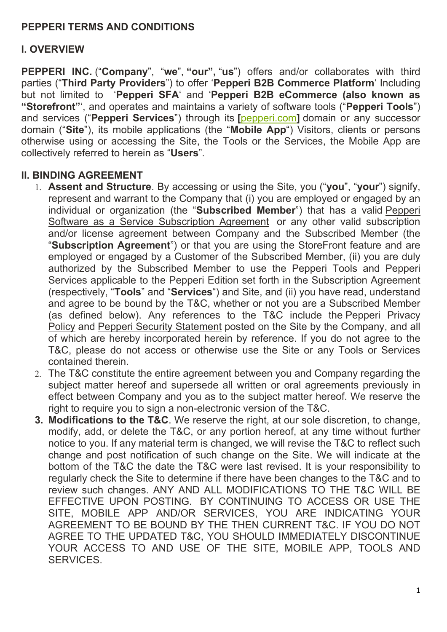#### **PEPPERI TERMS AND CONDITIONS**

#### **I. OVERVIEW**

**PEPPERI INC.** ("**Company**", "**we**", **"our",** "**us**") offers and/or collaborates with third parties ("**Third Party Providers**") to offer '**Pepperi B2B Commerce Platform**' Including but not limited to '**Pepperi SFA**' and '**Pepperi B2B eCommerce (also known as "Storefront"**', and operates and maintains a variety of software tools ("**Pepperi Tools**") and services ("**Pepperi Services**") through its **[**[pepperi.com](https://eur01.safelinks.protection.outlook.com/?url=http%3A%2F%2Fwww.pepperi.com%2F&data=05%7C01%7CDaphna.t%40pepperi.com%7C5f483f850d944b25b6dc08da3bd95852%7C2f2b54b701414ba78fcdab7d17a60547%7C0%7C0%7C637888101924625403%7CUnknown%7CTWFpbGZsb3d8eyJWIjoiMC4wLjAwMDAiLCJQIjoiV2luMzIiLCJBTiI6Ik1haWwiLCJXVCI6Mn0%3D%7C3000%7C%7C%7C&sdata=0LGV8A83vcDDfkGTOtlVIcy5NuExF5sZz8PWRJr%2F9xQ%3D&reserved=0)**]** domain or any successor domain ("**Site**"), its mobile applications (the "**Mobile App**") Visitors, clients or persons otherwise using or accessing the Site, the Tools or the Services, the Mobile App are collectively referred to herein as "**Users**".

#### **II. BINDING AGREEMENT**

- 1. **Assent and Structure**. By accessing or using the Site, you ("**you**", "**your**") signify, represent and warrant to the Company that (i) you are employed or engaged by an individual or organization (the "**Subscribed Member**") that has a valid Pepperi Software as a Service Subscription Agreement or any other valid subscription and/or license agreement between Company and the Subscribed Member (the "**Subscription Agreement**") or that you are using the StoreFront feature and are employed or engaged by a Customer of the Subscribed Member, (ii) you are duly authorized by the Subscribed Member to use the Pepperi Tools and Pepperi Services applicable to the Pepperi Edition set forth in the Subscription Agreement (respectively, "**Tools**" and "**Services**") and Site, and (ii) you have read, understand and agree to be bound by the T&C, whether or not you are a Subscribed Member (as defined below). Any references to the T&C include the Pepperi Privacy Policy and Pepperi Security Statement posted on the Site by the Company, and all of which are hereby incorporated herein by reference. If you do not agree to the T&C, please do not access or otherwise use the Site or any Tools or Services contained therein.
- 2. The T&C constitute the entire agreement between you and Company regarding the subject matter hereof and supersede all written or oral agreements previously in effect between Company and you as to the subject matter hereof. We reserve the right to require you to sign a non-electronic version of the T&C.
- **3. Modifications to the T&C**. We reserve the right, at our sole discretion, to change, modify, add, or delete the T&C, or any portion hereof, at any time without further notice to you. If any material term is changed, we will revise the T&C to reflect such change and post notification of such change on the Site. We will indicate at the bottom of the T&C the date the T&C were last revised. It is your responsibility to regularly check the Site to determine if there have been changes to the T&C and to review such changes. ANY AND ALL MODIFICATIONS TO THE T&C WILL BE EFFECTIVE UPON POSTING. BY CONTINUING TO ACCESS OR USE THE SITE, MOBILE APP AND/OR SERVICES, YOU ARE INDICATING YOUR AGREEMENT TO BE BOUND BY THE THEN CURRENT T&C. IF YOU DO NOT AGREE TO THE UPDATED T&C, YOU SHOULD IMMEDIATELY DISCONTINUE YOUR ACCESS TO AND USE OF THE SITE, MOBILE APP, TOOLS AND SERVICES.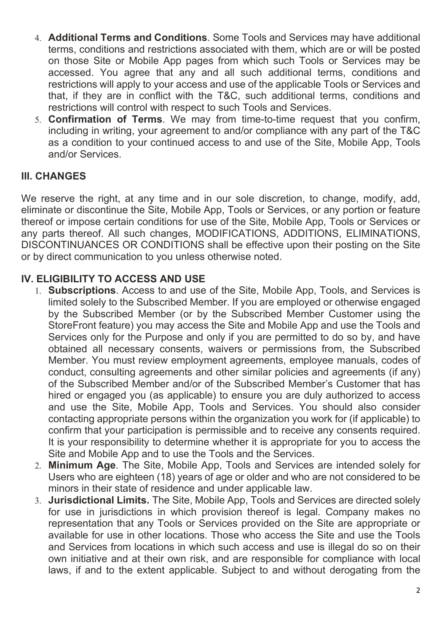- 4. **Additional Terms and Conditions**. Some Tools and Services may have additional terms, conditions and restrictions associated with them, which are or will be posted on those Site or Mobile App pages from which such Tools or Services may be accessed. You agree that any and all such additional terms, conditions and restrictions will apply to your access and use of the applicable Tools or Services and that, if they are in conflict with the T&C, such additional terms, conditions and restrictions will control with respect to such Tools and Services.
- 5. **Confirmation of Terms**. We may from time-to-time request that you confirm, including in writing, your agreement to and/or compliance with any part of the T&C as a condition to your continued access to and use of the Site, Mobile App, Tools and/or Services.

#### **III. CHANGES**

We reserve the right, at any time and in our sole discretion, to change, modify, add, eliminate or discontinue the Site, Mobile App, Tools or Services, or any portion or feature thereof or impose certain conditions for use of the Site, Mobile App, Tools or Services or any parts thereof. All such changes, MODIFICATIONS, ADDITIONS, ELIMINATIONS, DISCONTINUANCES OR CONDITIONS shall be effective upon their posting on the Site or by direct communication to you unless otherwise noted.

#### **IV. ELIGIBILITY TO ACCESS AND USE**

- 1. **Subscriptions**. Access to and use of the Site, Mobile App, Tools, and Services is limited solely to the Subscribed Member. If you are employed or otherwise engaged by the Subscribed Member (or by the Subscribed Member Customer using the StoreFront feature) you may access the Site and Mobile App and use the Tools and Services only for the Purpose and only if you are permitted to do so by, and have obtained all necessary consents, waivers or permissions from, the Subscribed Member. You must review employment agreements, employee manuals, codes of conduct, consulting agreements and other similar policies and agreements (if any) of the Subscribed Member and/or of the Subscribed Member's Customer that has hired or engaged you (as applicable) to ensure you are duly authorized to access and use the Site, Mobile App, Tools and Services. You should also consider contacting appropriate persons within the organization you work for (if applicable) to confirm that your participation is permissible and to receive any consents required. It is your responsibility to determine whether it is appropriate for you to access the Site and Mobile App and to use the Tools and the Services.
- 2. **Minimum Age**. The Site, Mobile App, Tools and Services are intended solely for Users who are eighteen (18) years of age or older and who are not considered to be minors in their state of residence and under applicable law.
- 3. **Jurisdictional Limits.** The Site, Mobile App, Tools and Services are directed solely for use in jurisdictions in which provision thereof is legal. Company makes no representation that any Tools or Services provided on the Site are appropriate or available for use in other locations. Those who access the Site and use the Tools and Services from locations in which such access and use is illegal do so on their own initiative and at their own risk, and are responsible for compliance with local laws, if and to the extent applicable. Subject to and without derogating from the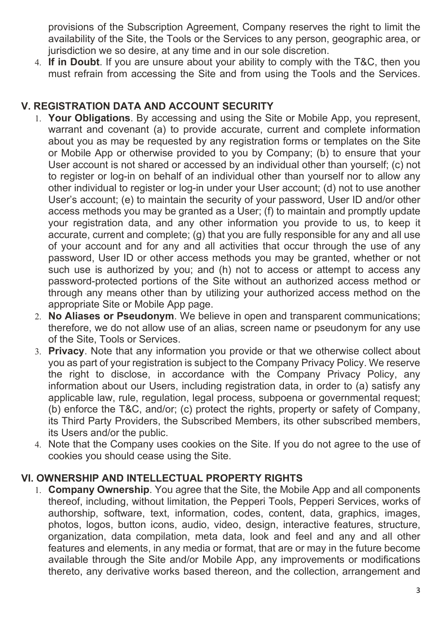provisions of the Subscription Agreement, Company reserves the right to limit the availability of the Site, the Tools or the Services to any person, geographic area, or jurisdiction we so desire, at any time and in our sole discretion.

4. **If in Doubt**. If you are unsure about your ability to comply with the T&C, then you must refrain from accessing the Site and from using the Tools and the Services.

# **V. REGISTRATION DATA AND ACCOUNT SECURITY**

- 1. **Your Obligations**. By accessing and using the Site or Mobile App, you represent, warrant and covenant (a) to provide accurate, current and complete information about you as may be requested by any registration forms or templates on the Site or Mobile App or otherwise provided to you by Company; (b) to ensure that your User account is not shared or accessed by an individual other than yourself; (c) not to register or log-in on behalf of an individual other than yourself nor to allow any other individual to register or log-in under your User account; (d) not to use another User's account; (e) to maintain the security of your password, User ID and/or other access methods you may be granted as a User; (f) to maintain and promptly update your registration data, and any other information you provide to us, to keep it accurate, current and complete; (g) that you are fully responsible for any and all use of your account and for any and all activities that occur through the use of any password, User ID or other access methods you may be granted, whether or not such use is authorized by you; and (h) not to access or attempt to access any password-protected portions of the Site without an authorized access method or through any means other than by utilizing your authorized access method on the appropriate Site or Mobile App page.
- 2. **No Aliases or Pseudonym**. We believe in open and transparent communications; therefore, we do not allow use of an alias, screen name or pseudonym for any use of the Site, Tools or Services.
- 3. **Privacy**. Note that any information you provide or that we otherwise collect about you as part of your registration is subject to the Company Privacy Policy. We reserve the right to disclose, in accordance with the Company Privacy Policy, any information about our Users, including registration data, in order to (a) satisfy any applicable law, rule, regulation, legal process, subpoena or governmental request; (b) enforce the T&C, and/or; (c) protect the rights, property or safety of Company, its Third Party Providers, the Subscribed Members, its other subscribed members, its Users and/or the public.
- 4. Note that the Company uses cookies on the Site. If you do not agree to the use of cookies you should cease using the Site.

# **VI. OWNERSHIP AND INTELLECTUAL PROPERTY RIGHTS**

1. **Company Ownership**. You agree that the Site, the Mobile App and all components thereof, including, without limitation, the Pepperi Tools, Pepperi Services, works of authorship, software, text, information, codes, content, data, graphics, images, photos, logos, button icons, audio, video, design, interactive features, structure, organization, data compilation, meta data, look and feel and any and all other features and elements, in any media or format, that are or may in the future become available through the Site and/or Mobile App, any improvements or modifications thereto, any derivative works based thereon, and the collection, arrangement and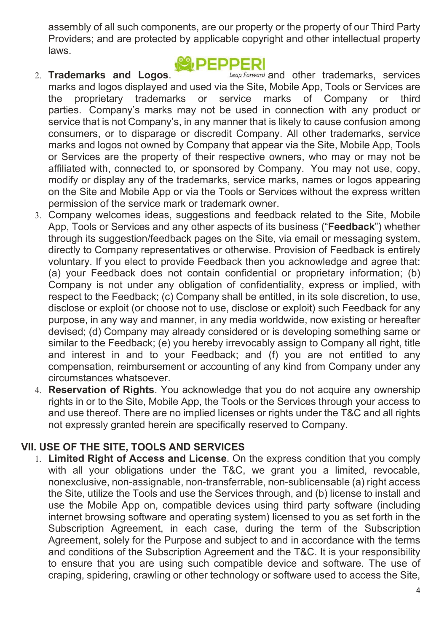assembly of all such components, are our property or the property of our Third Party Providers; and are protected by applicable copyright and other intellectual property laws.

**IDEDDED** 

2. **Trademarks and Logos. Leap Forward** and other trademarks, services marks and logos displayed and used via the Site, Mobile App, Tools or Services are the proprietary trademarks or service marks of Company or third parties. Company's marks may not be used in connection with any product or service that is not Company's, in any manner that is likely to cause confusion among consumers, or to disparage or discredit Company. All other trademarks, service marks and logos not owned by Company that appear via the Site, Mobile App, Tools or Services are the property of their respective owners, who may or may not be affiliated with, connected to, or sponsored by Company. You may not use, copy, modify or display any of the trademarks, service marks, names or logos appearing on the Site and Mobile App or via the Tools or Services without the express written permission of the service mark or trademark owner.

- 3. Company welcomes ideas, suggestions and feedback related to the Site, Mobile App, Tools or Services and any other aspects of its business ("**Feedback**") whether through its suggestion/feedback pages on the Site, via email or messaging system, directly to Company representatives or otherwise. Provision of Feedback is entirely voluntary. If you elect to provide Feedback then you acknowledge and agree that: (a) your Feedback does not contain confidential or proprietary information; (b) Company is not under any obligation of confidentiality, express or implied, with respect to the Feedback; (c) Company shall be entitled, in its sole discretion, to use, disclose or exploit (or choose not to use, disclose or exploit) such Feedback for any purpose, in any way and manner, in any media worldwide, now existing or hereafter devised; (d) Company may already considered or is developing something same or similar to the Feedback; (e) you hereby irrevocably assign to Company all right, title and interest in and to your Feedback; and (f) you are not entitled to any compensation, reimbursement or accounting of any kind from Company under any circumstances whatsoever.
- 4. **Reservation of Rights**. You acknowledge that you do not acquire any ownership rights in or to the Site, Mobile App, the Tools or the Services through your access to and use thereof. There are no implied licenses or rights under the T&C and all rights not expressly granted herein are specifically reserved to Company.

# **VII. USE OF THE SITE, TOOLS AND SERVICES**

1. **Limited Right of Access and License**. On the express condition that you comply with all your obligations under the T&C, we grant you a limited, revocable, nonexclusive, non-assignable, non-transferrable, non-sublicensable (a) right access the Site, utilize the Tools and use the Services through, and (b) license to install and use the Mobile App on, compatible devices using third party software (including internet browsing software and operating system) licensed to you as set forth in the Subscription Agreement, in each case, during the term of the Subscription Agreement, solely for the Purpose and subject to and in accordance with the terms and conditions of the Subscription Agreement and the T&C. It is your responsibility to ensure that you are using such compatible device and software. The use of craping, spidering, crawling or other technology or software used to access the Site,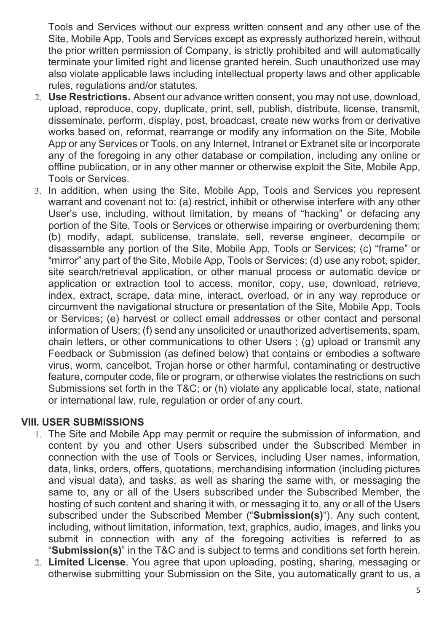Tools and Services without our express written consent and any other use of the Site, Mobile App, Tools and Services except as expressly authorized herein, without the prior written permission of Company, is strictly prohibited and will automatically terminate your limited right and license granted herein. Such unauthorized use may also violate applicable laws including intellectual property laws and other applicable rules, regulations and/or statutes.

- 2. **Use Restrictions.** Absent our advance written consent, you may not use, download, upload, reproduce, copy, duplicate, print, sell, publish, distribute, license, transmit, disseminate, perform, display, post, broadcast, create new works from or derivative works based on, reformat, rearrange or modify any information on the Site, Mobile App or any Services or Tools, on any Internet, Intranet or Extranet site or incorporate any of the foregoing in any other database or compilation, including any online or offline publication, or in any other manner or otherwise exploit the Site, Mobile App, Tools or Services.
- 3. In addition, when using the Site, Mobile App, Tools and Services you represent warrant and covenant not to: (a) restrict, inhibit or otherwise interfere with any other User's use, including, without limitation, by means of "hacking" or defacing any portion of the Site, Tools or Services or otherwise impairing or overburdening them; (b) modify, adapt, sublicense, translate, sell, reverse engineer, decompile or disassemble any portion of the Site, Mobile App, Tools or Services; (c) "frame" or "mirror" any part of the Site, Mobile App, Tools or Services; (d) use any robot, spider, site search/retrieval application, or other manual process or automatic device or application or extraction tool to access, monitor, copy, use, download, retrieve, index, extract, scrape, data mine, interact, overload, or in any way reproduce or circumvent the navigational structure or presentation of the Site, Mobile App, Tools or Services; (e) harvest or collect email addresses or other contact and personal information of Users; (f) send any unsolicited or unauthorized advertisements, spam, chain letters, or other communications to other Users ; (g) upload or transmit any Feedback or Submission (as defined below) that contains or embodies a software virus, worm, cancelbot, Trojan horse or other harmful, contaminating or destructive feature, computer code, file or program, or otherwise violates the restrictions on such Submissions set forth in the T&C; or (h) violate any applicable local, state, national or international law, rule, regulation or order of any court.

#### **VIII. USER SUBMISSIONS**

- 1. The Site and Mobile App may permit or require the submission of information, and content by you and other Users subscribed under the Subscribed Member in connection with the use of Tools or Services, including User names, information, data, links, orders, offers, quotations, merchandising information (including pictures and visual data), and tasks, as well as sharing the same with, or messaging the same to, any or all of the Users subscribed under the Subscribed Member, the hosting of such content and sharing it with, or messaging it to, any or all of the Users subscribed under the Subscribed Member ("**Submission(s)**"). Any such content, including, without limitation, information, text, graphics, audio, images, and links you submit in connection with any of the foregoing activities is referred to as "**Submission(s)**" in the T&C and is subject to terms and conditions set forth herein.
- 2. **Limited License**. You agree that upon uploading, posting, sharing, messaging or otherwise submitting your Submission on the Site, you automatically grant to us, a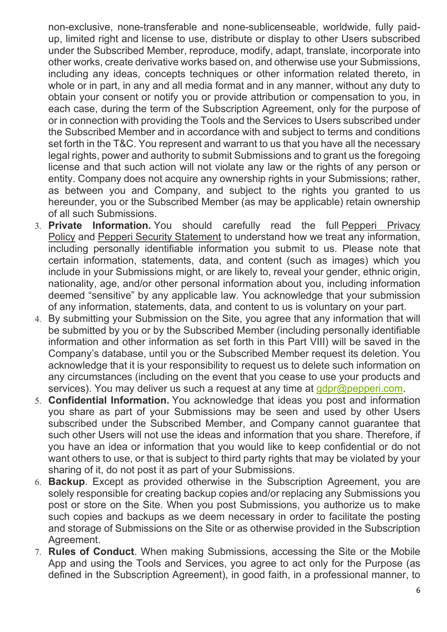non-exclusive, none-transferable and none-sublicenseable, worldwide, fully paidup, limited right and license to use, distribute or display to other Users subscribed under the Subscribed Member, reproduce, modify, adapt, translate, incorporate into other works, create derivative works based on, and otherwise use your Submissions, including any ideas, concepts techniques or other information related thereto, in whole or in part, in any and all media format and in any manner, without any duty to obtain your consent or notify you or provide attribution or compensation to you, in each case, during the term of the Subscription Agreement, only for the purpose of or in connection with providing the Tools and the Services to Users subscribed under the Subscribed Member and in accordance with and subject to terms and conditions set forth in the T&C. You represent and warrant to us that you have all the necessary legal rights, power and authority to submit Submissions and to grant us the foregoing license and that such action will not violate any law or the rights of any person or entity. Company does not acquire any ownership rights in your Submissions; rather, as between you and Company, and subject to the rights you granted to us hereunder, you or the Subscribed Member (as may be applicable) retain ownership of all such Submissions.

- 3. **Private Information.** You should carefully read the full Pepperi Privacy Policy and Pepperi Security Statement to understand how we treat any information, including personally identifiable information you submit to us. Please note that certain information, statements, data, and content (such as images) which you include in your Submissions might, or are likely to, reveal your gender, ethnic origin, nationality, age, and/or other personal information about you, including information deemed "sensitive" by any applicable law. You acknowledge that your submission of any information, statements, data, and content to us is voluntary on your part.
- 4. By submitting your Submission on the Site, you agree that any information that will be submitted by you or by the Subscribed Member (including personally identifiable information and other information as set forth in this Part VIII) will be saved in the Company's database, until you or the Subscribed Member request its deletion. You acknowledge that it is your responsibility to request us to delete such information on any circumstances (including on the event that you cease to use your products and services). You may deliver us such a request at any time at  $qdpr@pepperi.com$ .
- 5. **Confidential Information.** You acknowledge that ideas you post and information you share as part of your Submissions may be seen and used by other Users subscribed under the Subscribed Member, and Company cannot guarantee that such other Users will not use the ideas and information that you share. Therefore, if you have an idea or information that you would like to keep confidential or do not want others to use, or that is subject to third party rights that may be violated by your sharing of it, do not post it as part of your Submissions.
- 6. **Backup**. Except as provided otherwise in the Subscription Agreement, you are solely responsible for creating backup copies and/or replacing any Submissions you post or store on the Site. When you post Submissions, you authorize us to make such copies and backups as we deem necessary in order to facilitate the posting and storage of Submissions on the Site or as otherwise provided in the Subscription Agreement.
- 7. **Rules of Conduct**. When making Submissions, accessing the Site or the Mobile App and using the Tools and Services, you agree to act only for the Purpose (as defined in the Subscription Agreement), in good faith, in a professional manner, to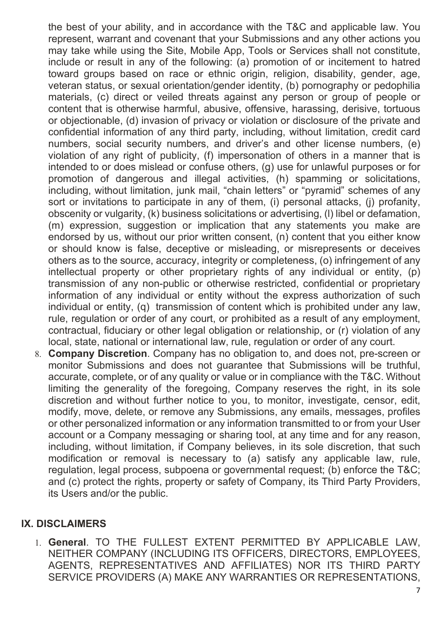the best of your ability, and in accordance with the T&C and applicable law. You represent, warrant and covenant that your Submissions and any other actions you may take while using the Site, Mobile App, Tools or Services shall not constitute, include or result in any of the following: (a) promotion of or incitement to hatred toward groups based on race or ethnic origin, religion, disability, gender, age, veteran status, or sexual orientation/gender identity, (b) pornography or pedophilia materials, (c) direct or veiled threats against any person or group of people or content that is otherwise harmful, abusive, offensive, harassing, derisive, tortuous or objectionable, (d) invasion of privacy or violation or disclosure of the private and confidential information of any third party, including, without limitation, credit card numbers, social security numbers, and driver's and other license numbers, (e) violation of any right of publicity, (f) impersonation of others in a manner that is intended to or does mislead or confuse others, (g) use for unlawful purposes or for promotion of dangerous and illegal activities, (h) spamming or solicitations, including, without limitation, junk mail, "chain letters" or "pyramid" schemes of any sort or invitations to participate in any of them. (i) personal attacks, (i) profanity, obscenity or vulgarity, (k) business solicitations or advertising, (l) libel or defamation, (m) expression, suggestion or implication that any statements you make are endorsed by us, without our prior written consent, (n) content that you either know or should know is false, deceptive or misleading, or misrepresents or deceives others as to the source, accuracy, integrity or completeness, (o) infringement of any intellectual property or other proprietary rights of any individual or entity, (p) transmission of any non-public or otherwise restricted, confidential or proprietary information of any individual or entity without the express authorization of such individual or entity, (q) transmission of content which is prohibited under any law, rule, regulation or order of any court, or prohibited as a result of any employment, contractual, fiduciary or other legal obligation or relationship, or (r) violation of any local, state, national or international law, rule, regulation or order of any court.

8. **Company Discretion**. Company has no obligation to, and does not, pre-screen or monitor Submissions and does not guarantee that Submissions will be truthful, accurate, complete, or of any quality or value or in compliance with the T&C. Without limiting the generality of the foregoing, Company reserves the right, in its sole discretion and without further notice to you, to monitor, investigate, censor, edit, modify, move, delete, or remove any Submissions, any emails, messages, profiles or other personalized information or any information transmitted to or from your User account or a Company messaging or sharing tool, at any time and for any reason, including, without limitation, if Company believes, in its sole discretion, that such modification or removal is necessary to (a) satisfy any applicable law, rule, regulation, legal process, subpoena or governmental request; (b) enforce the T&C; and (c) protect the rights, property or safety of Company, its Third Party Providers, its Users and/or the public.

#### **IX. DISCLAIMERS**

1. **General**. TO THE FULLEST EXTENT PERMITTED BY APPLICABLE LAW, NEITHER COMPANY (INCLUDING ITS OFFICERS, DIRECTORS, EMPLOYEES, AGENTS, REPRESENTATIVES AND AFFILIATES) NOR ITS THIRD PARTY SERVICE PROVIDERS (A) MAKE ANY WARRANTIES OR REPRESENTATIONS,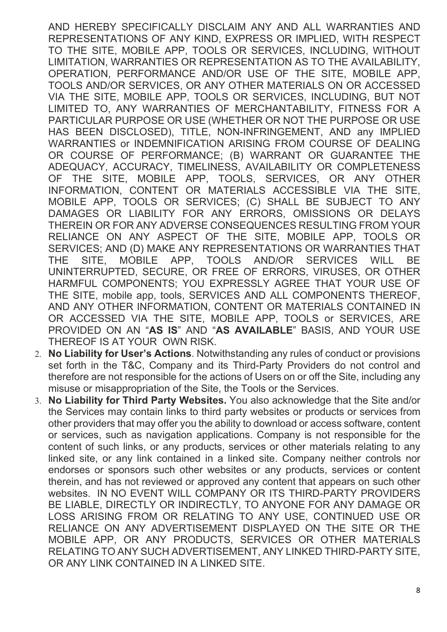AND HEREBY SPECIFICALLY DISCLAIM ANY AND ALL WARRANTIES AND REPRESENTATIONS OF ANY KIND, EXPRESS OR IMPLIED, WITH RESPECT TO THE SITE, MOBILE APP, TOOLS OR SERVICES, INCLUDING, WITHOUT LIMITATION, WARRANTIES OR REPRESENTATION AS TO THE AVAILABILITY, OPERATION, PERFORMANCE AND/OR USE OF THE SITE, MOBILE APP, TOOLS AND/OR SERVICES, OR ANY OTHER MATERIALS ON OR ACCESSED VIA THE SITE, MOBILE APP, TOOLS OR SERVICES, INCLUDING, BUT NOT LIMITED TO, ANY WARRANTIES OF MERCHANTABILITY, FITNESS FOR A PARTICULAR PURPOSE OR USE (WHETHER OR NOT THE PURPOSE OR USE HAS BEEN DISCLOSED), TITLE, NON-INFRINGEMENT, AND any IMPLIED WARRANTIES or INDEMNIFICATION ARISING FROM COURSE OF DEALING OR COURSE OF PERFORMANCE; (B) WARRANT OR GUARANTEE THE ADEQUACY, ACCURACY, TIMELINESS, AVAILABILITY OR COMPLETENESS OF THE SITE, MOBILE APP, TOOLS, SERVICES, OR ANY OTHER INFORMATION, CONTENT OR MATERIALS ACCESSIBLE VIA THE SITE, MOBILE APP, TOOLS OR SERVICES; (C) SHALL BE SUBJECT TO ANY DAMAGES OR LIABILITY FOR ANY ERRORS, OMISSIONS OR DELAYS THEREIN OR FOR ANY ADVERSE CONSEQUENCES RESULTING FROM YOUR RELIANCE ON ANY ASPECT OF THE SITE, MOBILE APP, TOOLS OR SERVICES; AND (D) MAKE ANY REPRESENTATIONS OR WARRANTIES THAT THE SITE, MOBILE APP, TOOLS AND/OR SERVICES WILL BE UNINTERRUPTED, SECURE, OR FREE OF ERRORS, VIRUSES, OR OTHER HARMFUL COMPONENTS; YOU EXPRESSLY AGREE THAT YOUR USE OF THE SITE, mobile app, tools, SERVICES AND ALL COMPONENTS THEREOF, AND ANY OTHER INFORMATION, CONTENT OR MATERIALS CONTAINED IN OR ACCESSED VIA THE SITE, MOBILE APP, TOOLS or SERVICES, ARE PROVIDED ON AN "**AS IS**" AND "**AS AVAILABLE**" BASIS, AND YOUR USE THEREOF IS AT YOUR OWN RISK.

- 2. **No Liability for User's Actions**. Notwithstanding any rules of conduct or provisions set forth in the T&C, Company and its Third-Party Providers do not control and therefore are not responsible for the actions of Users on or off the Site, including any misuse or misappropriation of the Site, the Tools or the Services.
- 3. **No Liability for Third Party Websites.** You also acknowledge that the Site and/or the Services may contain links to third party websites or products or services from other providers that may offer you the ability to download or access software, content or services, such as navigation applications. Company is not responsible for the content of such links, or any products, services or other materials relating to any linked site, or any link contained in a linked site. Company neither controls nor endorses or sponsors such other websites or any products, services or content therein, and has not reviewed or approved any content that appears on such other websites. IN NO EVENT WILL COMPANY OR ITS THIRD-PARTY PROVIDERS BE LIABLE, DIRECTLY OR INDIRECTLY, TO ANYONE FOR ANY DAMAGE OR LOSS ARISING FROM OR RELATING TO ANY USE, CONTINUED USE OR RELIANCE ON ANY ADVERTISEMENT DISPLAYED ON THE SITE OR THE MOBILE APP, OR ANY PRODUCTS, SERVICES OR OTHER MATERIALS RELATING TO ANY SUCH ADVERTISEMENT, ANY LINKED THIRD-PARTY SITE, OR ANY LINK CONTAINED IN A LINKED SITE.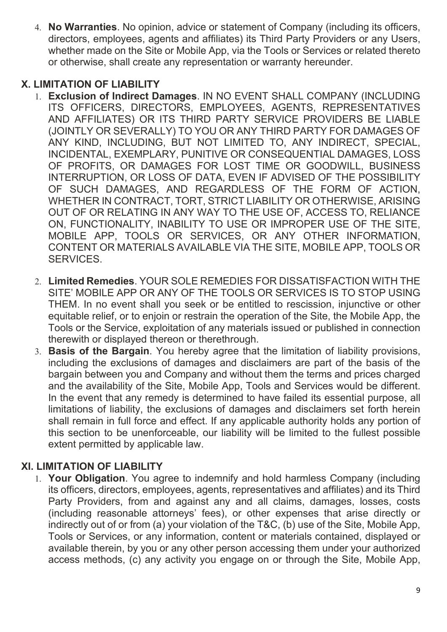4. **No Warranties**. No opinion, advice or statement of Company (including its officers, directors, employees, agents and affiliates) its Third Party Providers or any Users, whether made on the Site or Mobile App, via the Tools or Services or related thereto or otherwise, shall create any representation or warranty hereunder.

# **X. LIMITATION OF LIABILITY**

- 1. **Exclusion of Indirect Damages**. IN NO EVENT SHALL COMPANY (INCLUDING ITS OFFICERS, DIRECTORS, EMPLOYEES, AGENTS, REPRESENTATIVES AND AFFILIATES) OR ITS THIRD PARTY SERVICE PROVIDERS BE LIABLE (JOINTLY OR SEVERALLY) TO YOU OR ANY THIRD PARTY FOR DAMAGES OF ANY KIND, INCLUDING, BUT NOT LIMITED TO, ANY INDIRECT, SPECIAL, INCIDENTAL, EXEMPLARY, PUNITIVE OR CONSEQUENTIAL DAMAGES, LOSS OF PROFITS, OR DAMAGES FOR LOST TIME OR GOODWILL, BUSINESS INTERRUPTION, OR LOSS OF DATA, EVEN IF ADVISED OF THE POSSIBILITY OF SUCH DAMAGES, AND REGARDLESS OF THE FORM OF ACTION, WHETHER IN CONTRACT, TORT, STRICT LIABILITY OR OTHERWISE, ARISING OUT OF OR RELATING IN ANY WAY TO THE USE OF, ACCESS TO, RELIANCE ON, FUNCTIONALITY, INABILITY TO USE OR IMPROPER USE OF THE SITE, MOBILE APP, TOOLS OR SERVICES, OR ANY OTHER INFORMATION, CONTENT OR MATERIALS AVAILABLE VIA THE SITE, MOBILE APP, TOOLS OR SERVICES.
- 2. **Limited Remedies**. YOUR SOLE REMEDIES FOR DISSATISFACTION WITH THE SITE' MOBILE APP OR ANY OF THE TOOLS OR SERVICES IS TO STOP USING THEM. In no event shall you seek or be entitled to rescission, injunctive or other equitable relief, or to enjoin or restrain the operation of the Site, the Mobile App, the Tools or the Service, exploitation of any materials issued or published in connection therewith or displayed thereon or therethrough.
- 3. **Basis of the Bargain**. You hereby agree that the limitation of liability provisions, including the exclusions of damages and disclaimers are part of the basis of the bargain between you and Company and without them the terms and prices charged and the availability of the Site, Mobile App, Tools and Services would be different. In the event that any remedy is determined to have failed its essential purpose, all limitations of liability, the exclusions of damages and disclaimers set forth herein shall remain in full force and effect. If any applicable authority holds any portion of this section to be unenforceable, our liability will be limited to the fullest possible extent permitted by applicable law.

# **XI. LIMITATION OF LIABILITY**

1. **Your Obligation**. You agree to indemnify and hold harmless Company (including its officers, directors, employees, agents, representatives and affiliates) and its Third Party Providers, from and against any and all claims, damages, losses, costs (including reasonable attorneys' fees), or other expenses that arise directly or indirectly out of or from (a) your violation of the T&C, (b) use of the Site, Mobile App, Tools or Services, or any information, content or materials contained, displayed or available therein, by you or any other person accessing them under your authorized access methods, (c) any activity you engage on or through the Site, Mobile App,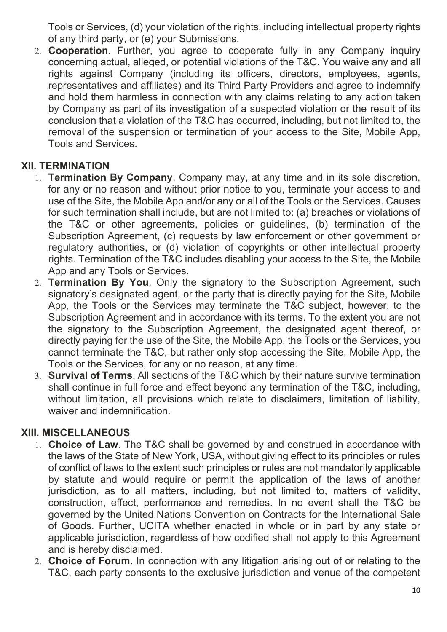Tools or Services, (d) your violation of the rights, including intellectual property rights of any third party, or (e) your Submissions.

2. **Cooperation**. Further, you agree to cooperate fully in any Company inquiry concerning actual, alleged, or potential violations of the T&C. You waive any and all rights against Company (including its officers, directors, employees, agents, representatives and affiliates) and its Third Party Providers and agree to indemnify and hold them harmless in connection with any claims relating to any action taken by Company as part of its investigation of a suspected violation or the result of its conclusion that a violation of the T&C has occurred, including, but not limited to, the removal of the suspension or termination of your access to the Site, Mobile App, Tools and Services.

# **XII. TERMINATION**

- 1. **Termination By Company**. Company may, at any time and in its sole discretion, for any or no reason and without prior notice to you, terminate your access to and use of the Site, the Mobile App and/or any or all of the Tools or the Services. Causes for such termination shall include, but are not limited to: (a) breaches or violations of the T&C or other agreements, policies or guidelines, (b) termination of the Subscription Agreement, (c) requests by law enforcement or other government or regulatory authorities, or (d) violation of copyrights or other intellectual property rights. Termination of the T&C includes disabling your access to the Site, the Mobile App and any Tools or Services.
- 2. **Termination By You**. Only the signatory to the Subscription Agreement, such signatory's designated agent, or the party that is directly paying for the Site, Mobile App, the Tools or the Services may terminate the T&C subject, however, to the Subscription Agreement and in accordance with its terms. To the extent you are not the signatory to the Subscription Agreement, the designated agent thereof, or directly paying for the use of the Site, the Mobile App, the Tools or the Services, you cannot terminate the T&C, but rather only stop accessing the Site, Mobile App, the Tools or the Services, for any or no reason, at any time.
- 3. **Survival of Terms**. All sections of the T&C which by their nature survive termination shall continue in full force and effect beyond any termination of the T&C, including, without limitation, all provisions which relate to disclaimers, limitation of liability, waiver and indemnification.

#### **XIII. MISCELLANEOUS**

- 1. **Choice of Law**. The T&C shall be governed by and construed in accordance with the laws of the State of New York, USA, without giving effect to its principles or rules of conflict of laws to the extent such principles or rules are not mandatorily applicable by statute and would require or permit the application of the laws of another jurisdiction, as to all matters, including, but not limited to, matters of validity, construction, effect, performance and remedies. In no event shall the T&C be governed by the United Nations Convention on Contracts for the International Sale of Goods. Further, UCITA whether enacted in whole or in part by any state or applicable jurisdiction, regardless of how codified shall not apply to this Agreement and is hereby disclaimed.
- 2. **Choice of Forum**. In connection with any litigation arising out of or relating to the T&C, each party consents to the exclusive jurisdiction and venue of the competent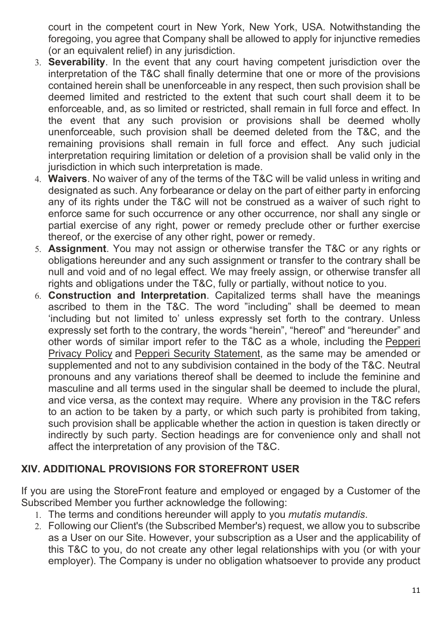court in the competent court in New York, New York, USA. Notwithstanding the foregoing, you agree that Company shall be allowed to apply for injunctive remedies (or an equivalent relief) in any jurisdiction.

- 3. **Severability**. In the event that any court having competent jurisdiction over the interpretation of the T&C shall finally determine that one or more of the provisions contained herein shall be unenforceable in any respect, then such provision shall be deemed limited and restricted to the extent that such court shall deem it to be enforceable, and, as so limited or restricted, shall remain in full force and effect. In the event that any such provision or provisions shall be deemed wholly unenforceable, such provision shall be deemed deleted from the T&C, and the remaining provisions shall remain in full force and effect. Any such judicial interpretation requiring limitation or deletion of a provision shall be valid only in the jurisdiction in which such interpretation is made.
- 4. **Waivers**. No waiver of any of the terms of the T&C will be valid unless in writing and designated as such. Any forbearance or delay on the part of either party in enforcing any of its rights under the T&C will not be construed as a waiver of such right to enforce same for such occurrence or any other occurrence, nor shall any single or partial exercise of any right, power or remedy preclude other or further exercise thereof, or the exercise of any other right, power or remedy.
- 5. **Assignment**. You may not assign or otherwise transfer the T&C or any rights or obligations hereunder and any such assignment or transfer to the contrary shall be null and void and of no legal effect. We may freely assign, or otherwise transfer all rights and obligations under the T&C, fully or partially, without notice to you.
- 6. **Construction and Interpretation**. Capitalized terms shall have the meanings ascribed to them in the T&C. The word "including" shall be deemed to mean 'including but not limited to' unless expressly set forth to the contrary. Unless expressly set forth to the contrary, the words "herein", "hereof" and "hereunder" and other words of similar import refer to the T&C as a whole, including the Pepperi Privacy Policy and Pepperi Security Statement, as the same may be amended or supplemented and not to any subdivision contained in the body of the T&C. Neutral pronouns and any variations thereof shall be deemed to include the feminine and masculine and all terms used in the singular shall be deemed to include the plural, and vice versa, as the context may require. Where any provision in the T&C refers to an action to be taken by a party, or which such party is prohibited from taking, such provision shall be applicable whether the action in question is taken directly or indirectly by such party. Section headings are for convenience only and shall not affect the interpretation of any provision of the T&C.

# **XIV. ADDITIONAL PROVISIONS FOR STOREFRONT USER**

If you are using the StoreFront feature and employed or engaged by a Customer of the Subscribed Member you further acknowledge the following:

- 1. The terms and conditions hereunder will apply to you *mutatis mutandis*.
- 2. Following our Client's (the Subscribed Member's) request, we allow you to subscribe as a User on our Site. However, your subscription as a User and the applicability of this T&C to you, do not create any other legal relationships with you (or with your employer). The Company is under no obligation whatsoever to provide any product